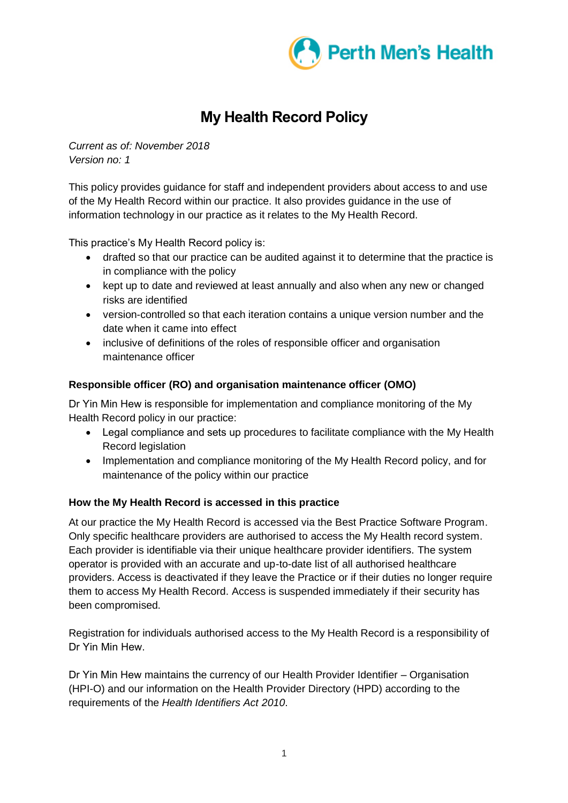

# **My Health Record Policy**

*Current as of: November 2018 Version no: 1*

This policy provides guidance for staff and independent providers about access to and use of the My Health Record within our practice. It also provides guidance in the use of information technology in our practice as it relates to the My Health Record.

This practice's My Health Record policy is:

- drafted so that our practice can be audited against it to determine that the practice is in compliance with the policy
- kept up to date and reviewed at least annually and also when any new or changed risks are identified
- version-controlled so that each iteration contains a unique version number and the date when it came into effect
- inclusive of definitions of the roles of responsible officer and organisation maintenance officer

# **Responsible officer (RO) and organisation maintenance officer (OMO)**

Dr Yin Min Hew is responsible for implementation and compliance monitoring of the My Health Record policy in our practice:

- Legal compliance and sets up procedures to facilitate compliance with the My Health Record legislation
- Implementation and compliance monitoring of the My Health Record policy, and for maintenance of the policy within our practice

## **How the My Health Record is accessed in this practice**

At our practice the My Health Record is accessed via the Best Practice Software Program. Only specific healthcare providers are authorised to access the My Health record system. Each provider is identifiable via their unique healthcare provider identifiers. The system operator is provided with an accurate and up-to-date list of all authorised healthcare providers. Access is deactivated if they leave the Practice or if their duties no longer require them to access My Health Record. Access is suspended immediately if their security has been compromised.

Registration for individuals authorised access to the My Health Record is a responsibility of Dr Yin Min Hew.

Dr Yin Min Hew maintains the currency of our Health Provider Identifier – Organisation (HPI-O) and our information on the Health Provider Directory (HPD) according to the requirements of the *Health Identifiers Act 2010*.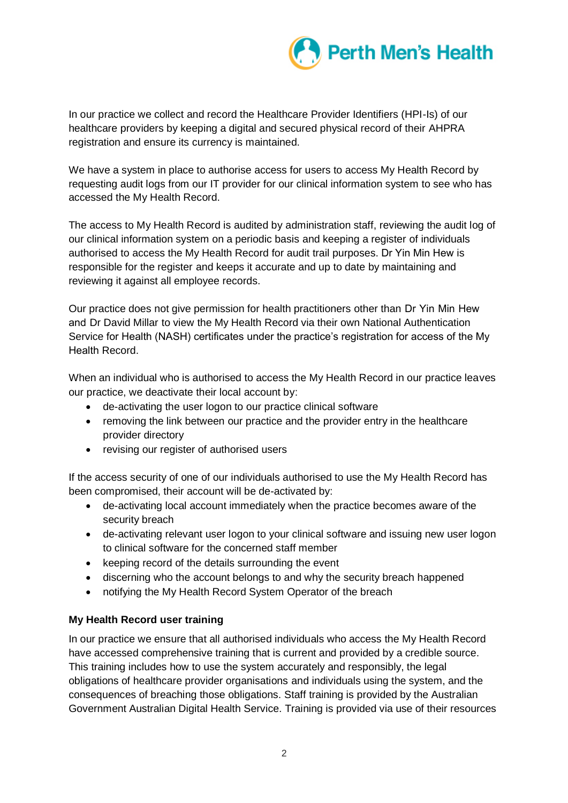

In our practice we collect and record the Healthcare Provider Identifiers (HPI-Is) of our healthcare providers by keeping a digital and secured physical record of their AHPRA registration and ensure its currency is maintained.

We have a system in place to authorise access for users to access My Health Record by requesting audit logs from our IT provider for our clinical information system to see who has accessed the My Health Record.

The access to My Health Record is audited by administration staff, reviewing the audit log of our clinical information system on a periodic basis and keeping a register of individuals authorised to access the My Health Record for audit trail purposes. Dr Yin Min Hew is responsible for the register and keeps it accurate and up to date by maintaining and reviewing it against all employee records.

Our practice does not give permission for health practitioners other than Dr Yin Min Hew and Dr David Millar to view the My Health Record via their own National Authentication Service for Health (NASH) certificates under the practice's registration for access of the My Health Record.

When an individual who is authorised to access the My Health Record in our practice leaves our practice, we deactivate their local account by:

- de-activating the user logon to our practice clinical software
- removing the link between our practice and the provider entry in the healthcare provider directory
- revising our register of authorised users

If the access security of one of our individuals authorised to use the My Health Record has been compromised, their account will be de-activated by:

- de-activating local account immediately when the practice becomes aware of the security breach
- de-activating relevant user logon to your clinical software and issuing new user logon to clinical software for the concerned staff member
- keeping record of the details surrounding the event
- discerning who the account belongs to and why the security breach happened
- notifying the My Health Record System Operator of the breach

## **My Health Record user training**

In our practice we ensure that all authorised individuals who access the My Health Record have accessed comprehensive training that is current and provided by a credible source. This training includes how to use the system accurately and responsibly, the legal obligations of healthcare provider organisations and individuals using the system, and the consequences of breaching those obligations. Staff training is provided by the Australian Government Australian Digital Health Service. Training is provided via use of their resources